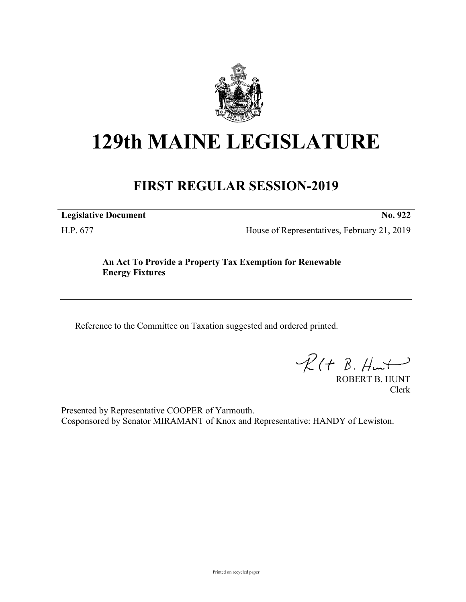

## **129th MAINE LEGISLATURE**

## **FIRST REGULAR SESSION-2019**

**Legislative Document No. 922**

H.P. 677 House of Representatives, February 21, 2019

**An Act To Provide a Property Tax Exemption for Renewable Energy Fixtures**

Reference to the Committee on Taxation suggested and ordered printed.

 $R(H B. Hmt)$ 

ROBERT B. HUNT Clerk

Presented by Representative COOPER of Yarmouth. Cosponsored by Senator MIRAMANT of Knox and Representative: HANDY of Lewiston.